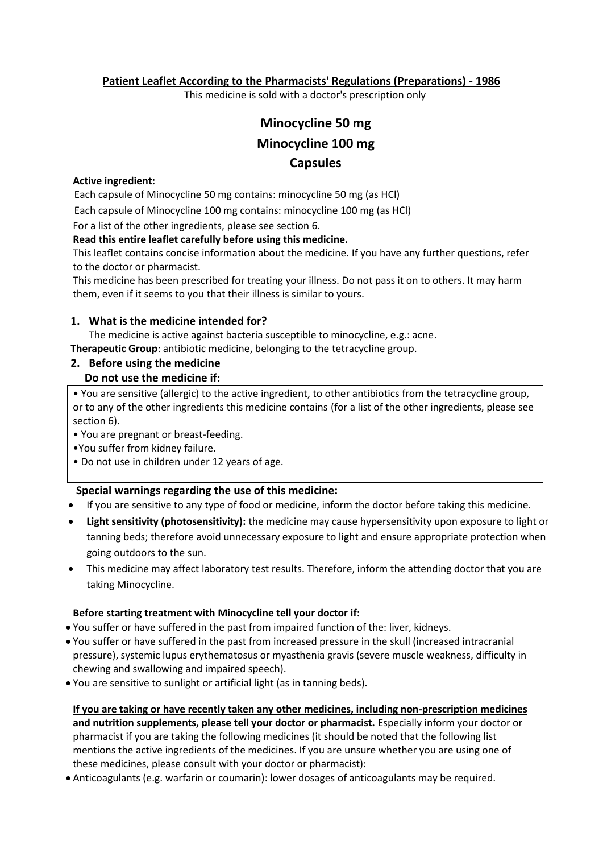**Patient Leaflet According to the Pharmacists' Regulations (Preparations) - 1986**

This medicine is sold with a doctor's prescription only

# **Minocycline 50 mg Minocycline 100 mg Capsules**

#### **Active ingredient:**

Each capsule of Minocycline 50 mg contains: minocycline 50 mg (as HCl)

Each capsule of Minocycline 100 mg contains: minocycline 100 mg (as HCl)

For a list of the other ingredients, please see section 6.

#### **Read this entire leaflet carefully before using this medicine.**

This leaflet contains concise information about the medicine. If you have any further questions, refer to the doctor or pharmacist.

This medicine has been prescribed for treating your illness. Do not pass it on to others. It may harm them, even if it seems to you that their illness is similar to yours.

#### **1. What is the medicine intended for?**

The medicine is active against bacteria susceptible to minocycline, e.g.: acne.

**Therapeutic Group**: antibiotic medicine, belonging to the tetracycline group.

# **2. Before using the medicine Do not use the medicine if:**

• You are sensitive (allergic) to the active ingredient, to other antibiotics from the tetracycline group, or to any of the other ingredients this medicine contains (for a list of the other ingredients, please see section 6).

• You are pregnant or breast-feeding.

- •You suffer from kidney failure.
- Do not use in children under 12 years of age.

## **Special warnings regarding the use of this medicine:**

- If you are sensitive to any type of food or medicine, inform the doctor before taking this medicine.
- **Light sensitivity (photosensitivity):** the medicine may cause hypersensitivity upon exposure to light or tanning beds; therefore avoid unnecessary exposure to light and ensure appropriate protection when going outdoors to the sun.
- This medicine may affect laboratory test results. Therefore, inform the attending doctor that you are taking Minocycline.

## **Before starting treatment with Minocycline tell your doctor if:**

- You suffer or have suffered in the past from impaired function of the: liver, kidneys.
- You suffer or have suffered in the past from increased pressure in the skull (increased intracranial pressure), systemic lupus erythematosus or myasthenia gravis (severe muscle weakness, difficulty in chewing and swallowing and impaired speech).
- You are sensitive to sunlight or artificial light (as in tanning beds).

**If you are taking or have recently taken any other medicines, including non-prescription medicines and nutrition supplements, please tell your doctor or pharmacist.** Especially inform your doctor or pharmacist if you are taking the following medicines (it should be noted that the following list mentions the active ingredients of the medicines. If you are unsure whether you are using one of these medicines, please consult with your doctor or pharmacist):

Anticoagulants (e.g. warfarin or coumarin): lower dosages of anticoagulants may be required.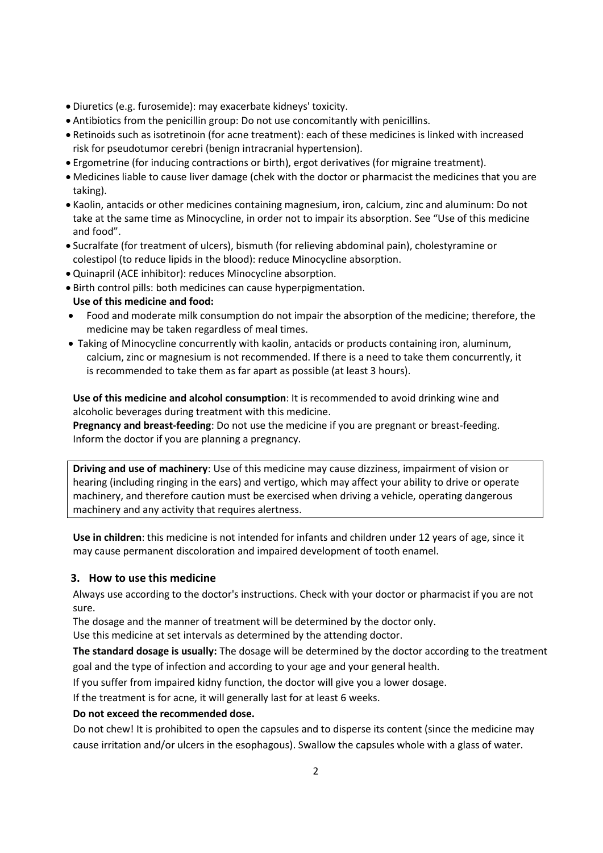- Diuretics (e.g. furosemide): may exacerbate kidneys' toxicity.
- Antibiotics from the penicillin group: Do not use concomitantly with penicillins.
- Retinoids such as isotretinoin (for acne treatment): each of these medicines is linked with increased risk for pseudotumor cerebri (benign intracranial hypertension).
- Ergometrine (for inducing contractions or birth), ergot derivatives (for migraine treatment).
- Medicines liable to cause liver damage (chek with the doctor or pharmacist the medicines that you are taking).
- Kaolin, antacids or other medicines containing magnesium, iron, calcium, zinc and aluminum: Do not take at the same time as Minocycline, in order not to impair its absorption. See "Use of this medicine and food".
- Sucralfate (for treatment of ulcers), bismuth (for relieving abdominal pain), cholestyramine or colestipol (to reduce lipids in the blood): reduce Minocycline absorption.
- Quinapril (ACE inhibitor): reduces Minocycline absorption.
- Birth control pills: both medicines can cause hyperpigmentation.
- **Use of this medicine and food:**
- Food and moderate milk consumption do not impair the absorption of the medicine; therefore, the medicine may be taken regardless of meal times.
- Taking of Minocycline concurrently with kaolin, antacids or products containing iron, aluminum, calcium, zinc or magnesium is not recommended. If there is a need to take them concurrently, it is recommended to take them as far apart as possible (at least 3 hours).

**Use of this medicine and alcohol consumption**: It is recommended to avoid drinking wine and alcoholic beverages during treatment with this medicine.

**Pregnancy and breast-feeding**: Do not use the medicine if you are pregnant or breast-feeding. Inform the doctor if you are planning a pregnancy.

**Driving and use of machinery**: Use of this medicine may cause dizziness, impairment of vision or hearing (including ringing in the ears) and vertigo, which may affect your ability to drive or operate machinery, and therefore caution must be exercised when driving a vehicle, operating dangerous machinery and any activity that requires alertness.

**Use in children**: this medicine is not intended for infants and children under 12 years of age, since it may cause permanent discoloration and impaired development of tooth enamel.

## **3. How to use this medicine**

Always use according to the doctor's instructions. Check with your doctor or pharmacist if you are not sure.

The dosage and the manner of treatment will be determined by the doctor only.

Use this medicine at set intervals as determined by the attending doctor.

**The standard dosage is usually:** The dosage will be determined by the doctor according to the treatment goal and the type of infection and according to your age and your general health.

If you suffer from impaired kidny function, the doctor will give you a lower dosage.

If the treatment is for acne, it will generally last for at least 6 weeks.

#### **Do not exceed the recommended dose.**

Do not chew! It is prohibited to open the capsules and to disperse its content (since the medicine may cause irritation and/or ulcers in the esophagous). Swallow the capsules whole with a glass of water.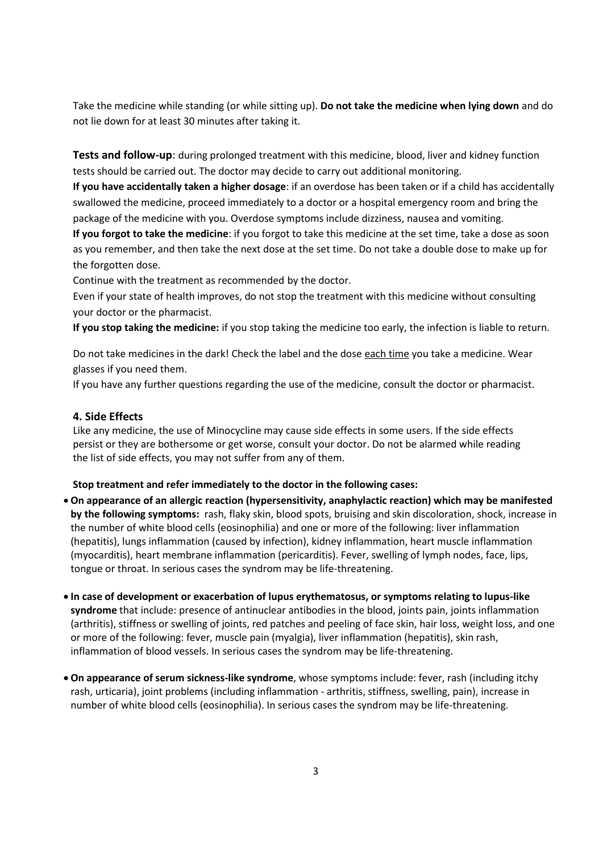Take the medicine while standing (or while sitting up). **Do not take the medicine when lying down** and do not lie down for at least 30 minutes after taking it.

**Tests and follow-up**: during prolonged treatment with this medicine, blood, liver and kidney function tests should be carried out. The doctor may decide to carry out additional monitoring.

**If you have accidentally taken a higher dosage**: if an overdose has been taken or if a child has accidentally swallowed the medicine, proceed immediately to a doctor or a hospital emergency room and bring the package of the medicine with you. Overdose symptoms include dizziness, nausea and vomiting.

**If you forgot to take the medicine**: if you forgot to take this medicine at the set time, take a dose as soon as you remember, and then take the next dose at the set time. Do not take a double dose to make up for the forgotten dose.

Continue with the treatment as recommended by the doctor.

Even if your state of health improves, do not stop the treatment with this medicine without consulting your doctor or the pharmacist.

**If you stop taking the medicine:** if you stop taking the medicine too early, the infection is liable to return.

Do not take medicines in the dark! Check the label and the dose each time you take a medicine. Wear glasses if you need them.

If you have any further questions regarding the use of the medicine, consult the doctor or pharmacist.

#### **4. Side Effects**

Like any medicine, the use of Minocycline may cause side effects in some users. If the side effects persist or they are bothersome or get worse, consult your doctor. Do not be alarmed while reading the list of side effects, you may not suffer from any of them.

#### **Stop treatment and refer immediately to the doctor in the following cases:**

- **On appearance of an allergic reaction (hypersensitivity, anaphylactic reaction) which may be manifested by the following symptoms:** rash, flaky skin, blood spots, bruising and skin discoloration, shock, increase in the number of white blood cells (eosinophilia) and one or more of the following: liver inflammation (hepatitis), lungs inflammation (caused by infection), kidney inflammation, heart muscle inflammation (myocarditis), heart membrane inflammation (pericarditis). Fever, swelling of lymph nodes, face, lips, tongue or throat. In serious cases the syndrom may be life-threatening.
- **In case of development or exacerbation of lupus erythematosus, or symptoms relating to lupus-like syndrome** that include: presence of antinuclear antibodies in the blood, joints pain, joints inflammation (arthritis), stiffness or swelling of joints, red patches and peeling of face skin, hair loss, weight loss, and one or more of the following: fever, muscle pain (myalgia), liver inflammation (hepatitis), skin rash, inflammation of blood vessels. In serious cases the syndrom may be life-threatening.
- **On appearance of serum sickness-like syndrome**, whose symptoms include: fever, rash (including itchy rash, urticaria), joint problems (including inflammation - arthritis, stiffness, swelling, pain), increase in number of white blood cells (eosinophilia). In serious cases the syndrom may be life-threatening.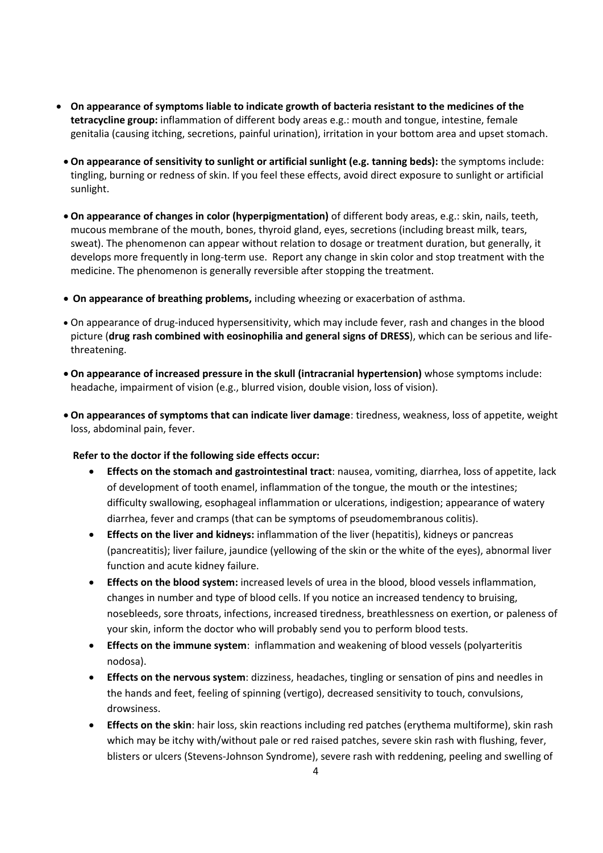- **On appearance of symptoms liable to indicate growth of bacteria resistant to the medicines of the tetracycline group:** inflammation of different body areas e.g.: mouth and tongue, intestine, female genitalia (causing itching, secretions, painful urination), irritation in your bottom area and upset stomach.
	- **On appearance of sensitivity to sunlight or artificial sunlight (e.g. tanning beds):** the symptoms include: tingling, burning or redness of skin. If you feel these effects, avoid direct exposure to sunlight or artificial sunlight.
	- **On appearance of changes in color (hyperpigmentation)** of different body areas, e.g.: skin, nails, teeth, mucous membrane of the mouth, bones, thyroid gland, eyes, secretions (including breast milk, tears, sweat). The phenomenon can appear without relation to dosage or treatment duration, but generally, it develops more frequently in long-term use. Report any change in skin color and stop treatment with the medicine. The phenomenon is generally reversible after stopping the treatment.
	- **On appearance of breathing problems,** including wheezing or exacerbation of asthma.
	- On appearance of drug-induced hypersensitivity, which may include fever, rash and changes in the blood picture (**drug rash combined with eosinophilia and general signs of DRESS**), which can be serious and lifethreatening.
	- **On appearance of increased pressure in the skull (intracranial hypertension)** whose symptoms include: headache, impairment of vision (e.g., blurred vision, double vision, loss of vision).
	- **On appearances of symptoms that can indicate liver damage**: tiredness, weakness, loss of appetite, weight loss, abdominal pain, fever.

#### **Refer to the doctor if the following side effects occur:**

- **Effects on the stomach and gastrointestinal tract**: nausea, vomiting, diarrhea, loss of appetite, lack of development of tooth enamel, inflammation of the tongue, the mouth or the intestines; difficulty swallowing, esophageal inflammation or ulcerations, indigestion; appearance of watery diarrhea, fever and cramps (that can be symptoms of pseudomembranous colitis).
- **Effects on the liver and kidneys:** inflammation of the liver (hepatitis), kidneys or pancreas (pancreatitis); liver failure, jaundice (yellowing of the skin or the white of the eyes), abnormal liver function and acute kidney failure.
- **Effects on the blood system:** increased levels of urea in the blood, blood vessels inflammation, changes in number and type of blood cells. If you notice an increased tendency to bruising, nosebleeds, sore throats, infections, increased tiredness, breathlessness on exertion, or paleness of your skin, inform the doctor who will probably send you to perform blood tests.
- **Effects on the immune system**: inflammation and weakening of blood vessels (polyarteritis nodosa).
- **Effects on the nervous system**: dizziness, headaches, tingling or sensation of pins and needles in the hands and feet, feeling of spinning (vertigo), decreased sensitivity to touch, convulsions, drowsiness.
- **Effects on the skin**: hair loss, skin reactions including red patches (erythema multiforme), skin rash which may be itchy with/without pale or red raised patches, severe skin rash with flushing, fever, blisters or ulcers (Stevens-Johnson Syndrome), severe rash with reddening, peeling and swelling of